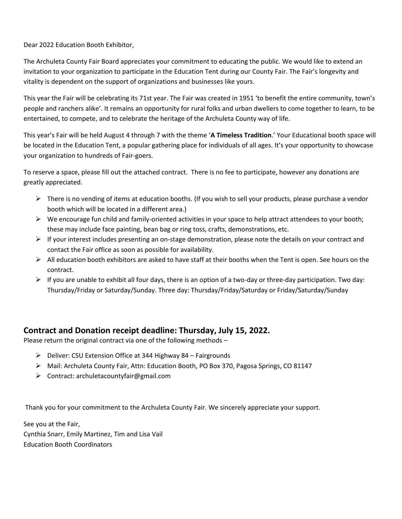Dear 2022 Education Booth Exhibitor,

The Archuleta County Fair Board appreciates your commitment to educating the public. We would like to extend an invitation to your organization to participate in the Education Tent during our County Fair. The Fair's longevity and vitality is dependent on the support of organizations and businesses like yours.

This year the Fair will be celebrating its 71st year. The Fair was created in 1951 'to benefit the entire community, town's people and ranchers alike'. It remains an opportunity for rural folks and urban dwellers to come together to learn, to be entertained, to compete, and to celebrate the heritage of the Archuleta County way of life.

This year's Fair will be held August 4 through 7 with the theme '**A Timeless Tradition**.' Your Educational booth space will be located in the Education Tent, a popular gathering place for individuals of all ages. It's your opportunity to showcase your organization to hundreds of Fair-goers.

To reserve a space, please fill out the attached contract. There is no fee to participate, however any donations are greatly appreciated.

- $\triangleright$  There is no vending of items at education booths. (If you wish to sell your products, please purchase a vendor booth which will be located in a different area.)
- $\triangleright$  We encourage fun child and family-oriented activities in your space to help attract attendees to your booth; these may include face painting, bean bag or ring toss, crafts, demonstrations, etc.
- $\triangleright$  If your interest includes presenting an on-stage demonstration, please note the details on your contract and contact the Fair office as soon as possible for availability.
- $\triangleright$  All education booth exhibitors are asked to have staff at their booths when the Tent is open. See hours on the contract.
- $\triangleright$  If you are unable to exhibit all four days, there is an option of a two-day or three-day participation. Two day: Thursday/Friday or Saturday/Sunday. Three day: Thursday/Friday/Saturday or Friday/Saturday/Sunday

## **Contract and Donation receipt deadline: Thursday, July 15, 2022.**

Please return the original contract via one of the following methods –

- ➢ Deliver: CSU Extension Office at 344 Highway 84 Fairgrounds
- ➢ Mail: Archuleta County Fair, Attn: Education Booth, PO Box 370, Pagosa Springs, CO 81147
- ➢ Contract: archuletacountyfair@gmail.com

Thank you for your commitment to the Archuleta County Fair. We sincerely appreciate your support.

See you at the Fair, Cynthia Snarr, Emily Martinez, Tim and Lisa Vail Education Booth Coordinators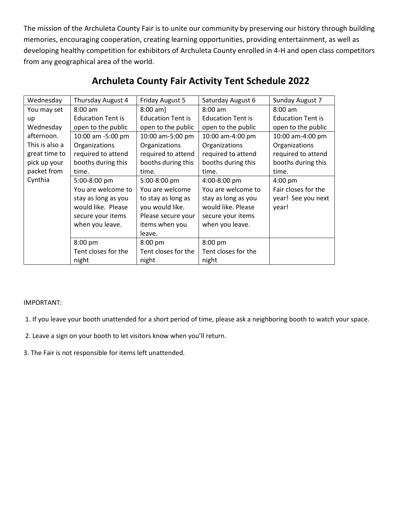The mission of the Archuleta County Fair is to unite our community by preserving our history through building memories, encouraging cooperation, creating learning opportunities, providing entertainment, as well as developing healthy competition for exhibitors of Archuleta County enrolled in 4-H and open class competitors from any geographical area of the world.

| Wednesday      | Thursday August 4        | Friday August 5          | Saturday August 6        | Sunday August 7          |
|----------------|--------------------------|--------------------------|--------------------------|--------------------------|
| You may set    | $8:00$ am                | $8:00 \text{ am}$        | 8:00 am                  | $8:00$ am                |
| up             | <b>Education Tent is</b> | <b>Education Tent is</b> | <b>Education Tent is</b> | <b>Education Tent is</b> |
| Wednesday      | open to the public       | open to the public       | open to the public       | open to the public       |
| afternoon.     | 10:00 am -5:00 pm        | 10:00 am-5:00 pm         | 10:00 am-4:00 pm         | 10:00 am-4:00 pm         |
| This is also a | Organizations            | Organizations            | Organizations            | Organizations            |
| great time to  | required to attend       | required to attend       | required to attend       | required to attend       |
| pick up your   | booths during this       | booths during this       | booths during this       | booths during this       |
| packet from    | time.                    | time.                    | time.                    | time.                    |
| Cynthia        | 5:00-8:00 pm             | 5:00-8:00 pm             | 4:00-8:00 pm             | $4:00$ pm                |
|                | You are welcome to       | You are welcome          | You are welcome to       | Fair closes for the      |
|                | stay as long as you      | to stay as long as       | stay as long as you      | year! See you next       |
|                | would like. Please       | you would like.          | would like. Please       | year!                    |
|                | secure your items        | Please secure your       | secure your items        |                          |
|                | when you leave.          | items when you           | when you leave.          |                          |
|                |                          | leave.                   |                          |                          |
|                | 8:00 pm                  | 8:00 pm                  | 8:00 pm                  |                          |
|                | Tent closes for the      | Tent closes for the      | Tent closes for the      |                          |
|                | night                    | night                    | night                    |                          |

## **Archuleta County Fair Activity Tent Schedule 2022**

## IMPORTANT:

1. If you leave your booth unattended for a short period of time, please ask a neighboring booth to watch your space.

2. Leave a sign on your booth to let visitors know when you'll return.

3. The Fair is not responsible for items left unattended.